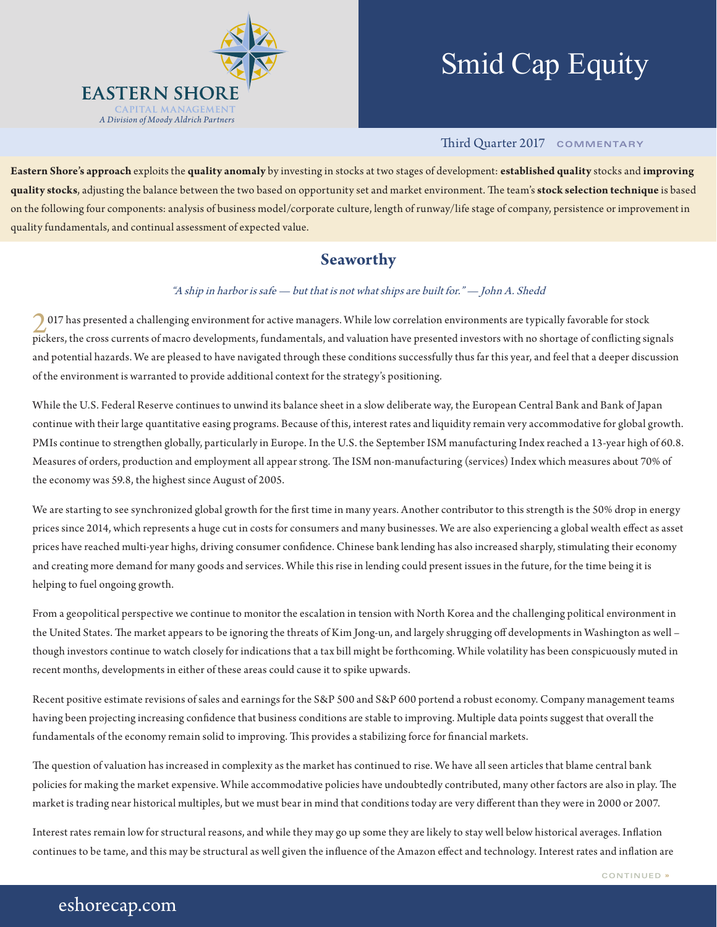

# Smid Cap Equity

## Third Quarter 2017 **COMMENTARY**

**Eastern Shore's approach** exploits the **quality anomaly** by investing in stocks at two stages of development: **established quality** stocks and **improving quality stocks**, adjusting the balance between the two based on opportunity set and market environment. The team's **stock selection technique** is based on the following four components: analysis of business model/corporate culture, length of runway/life stage of company, persistence or improvement in quality fundamentals, and continual assessment of expected value.

## **Seaworthy**

### "A ship in harbor is safe — but that is not what ships are built for." — John A. Shedd

2017 has presented a challenging environment for active managers. While low correlation environments are typically favorable for stock pickers, the cross currents of macro developments, fundamentals, and valuation have presented investors with no shortage of conflicting signals and potential hazards. We are pleased to have navigated through these conditions successfully thus far this year, and feel that a deeper discussion of the environment is warranted to provide additional context for the strategy's positioning.

While the U.S. Federal Reserve continues to unwind its balance sheet in a slow deliberate way, the European Central Bank and Bank of Japan continue with their large quantitative easing programs. Because of this, interest rates and liquidity remain very accommodative for global growth. PMIs continue to strengthen globally, particularly in Europe. In the U.S. the September ISM manufacturing Index reached a 13-year high of 60.8. Measures of orders, production and employment all appear strong. The ISM non-manufacturing (services) Index which measures about 70% of the economy was 59.8, the highest since August of 2005.

We are starting to see synchronized global growth for the first time in many years. Another contributor to this strength is the 50% drop in energy prices since 2014, which represents a huge cut in costs for consumers and many businesses. We are also experiencing a global wealth effect as asset prices have reached multi-year highs, driving consumer confidence. Chinese bank lending has also increased sharply, stimulating their economy and creating more demand for many goods and services. While this rise in lending could present issues in the future, for the time being it is helping to fuel ongoing growth.

From a geopolitical perspective we continue to monitor the escalation in tension with North Korea and the challenging political environment in the United States. The market appears to be ignoring the threats of Kim Jong-un, and largely shrugging off developments in Washington as well – though investors continue to watch closely for indications that a tax bill might be forthcoming. While volatility has been conspicuously muted in recent months, developments in either of these areas could cause it to spike upwards.

Recent positive estimate revisions of sales and earnings for the S&P 500 and S&P 600 portend a robust economy. Company management teams having been projecting increasing confidence that business conditions are stable to improving. Multiple data points suggest that overall the fundamentals of the economy remain solid to improving. This provides a stabilizing force for financial markets.

The question of valuation has increased in complexity as the market has continued to rise. We have all seen articles that blame central bank policies for making the market expensive. While accommodative policies have undoubtedly contributed, many other factors are also in play. The market is trading near historical multiples, but we must bear in mind that conditions today are very different than they were in 2000 or 2007.

Interest rates remain low for structural reasons, and while they may go up some they are likely to stay well below historical averages. Inflation continues to be tame, and this may be structural as well given the influence of the Amazon effect and technology. Interest rates and inflation are

# eshorecap.com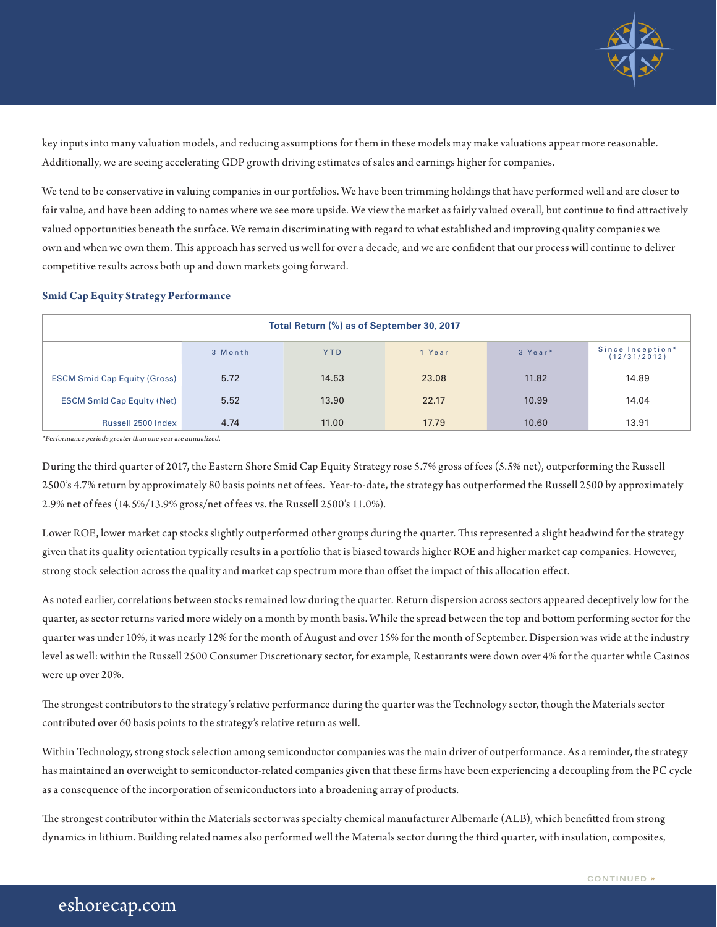

key inputs into many valuation models, and reducing assumptions for them in these models may make valuations appear more reasonable. Additionally, we are seeing accelerating GDP growth driving estimates of sales and earnings higher for companies.

We tend to be conservative in valuing companies in our portfolios. We have been trimming holdings that have performed well and are closer to fair value, and have been adding to names where we see more upside. We view the market as fairly valued overall, but continue to find attractively valued opportunities beneath the surface. We remain discriminating with regard to what established and improving quality companies we own and when we own them. This approach has served us well for over a decade, and we are confident that our process will continue to deliver competitive results across both up and down markets going forward.

#### **Smid Cap Equity Strategy Performance**

| Total Return (%) as of September 30, 2017 |         |            |        |         |                                  |  |  |
|-------------------------------------------|---------|------------|--------|---------|----------------------------------|--|--|
|                                           | 3 Month | <b>YTD</b> | 1 Year | 3 Year* | Since Inception*<br>(12/31/2012) |  |  |
| <b>ESCM Smid Cap Equity (Gross)</b>       | 5.72    | 14.53      | 23.08  | 11.82   | 14.89                            |  |  |
| <b>ESCM Smid Cap Equity (Net)</b>         | 5.52    | 13.90      | 22.17  | 10.99   | 14.04                            |  |  |
| Russell 2500 Index                        | 4.74    | 11.00      | 17.79  | 10.60   | 13.91                            |  |  |

\*Performance periods greater than one year are annualized.

During the third quarter of 2017, the Eastern Shore Smid Cap Equity Strategy rose 5.7% gross of fees (5.5% net), outperforming the Russell 2500's 4.7% return by approximately 80 basis points net of fees. Year-to-date, the strategy has outperformed the Russell 2500 by approximately 2.9% net of fees (14.5%/13.9% gross/net of fees vs. the Russell 2500's 11.0%).

Lower ROE, lower market cap stocks slightly outperformed other groups during the quarter. This represented a slight headwind for the strategy given that its quality orientation typically results in a portfolio that is biased towards higher ROE and higher market cap companies. However, strong stock selection across the quality and market cap spectrum more than offset the impact of this allocation effect.

As noted earlier, correlations between stocks remained low during the quarter. Return dispersion across sectors appeared deceptively low for the quarter, as sector returns varied more widely on a month by month basis. While the spread between the top and bottom performing sector for the quarter was under 10%, it was nearly 12% for the month of August and over 15% for the month of September. Dispersion was wide at the industry level as well: within the Russell 2500 Consumer Discretionary sector, for example, Restaurants were down over 4% for the quarter while Casinos were up over 20%.

The strongest contributors to the strategy's relative performance during the quarter was the Technology sector, though the Materials sector contributed over 60 basis points to the strategy's relative return as well.

Within Technology, strong stock selection among semiconductor companies was the main driver of outperformance. As a reminder, the strategy has maintained an overweight to semiconductor-related companies given that these firms have been experiencing a decoupling from the PC cycle as a consequence of the incorporation of semiconductors into a broadening array of products.

The strongest contributor within the Materials sector was specialty chemical manufacturer Albemarle (ALB), which benefitted from strong dynamics in lithium. Building related names also performed well the Materials sector during the third quarter, with insulation, composites,

# eshorecap.com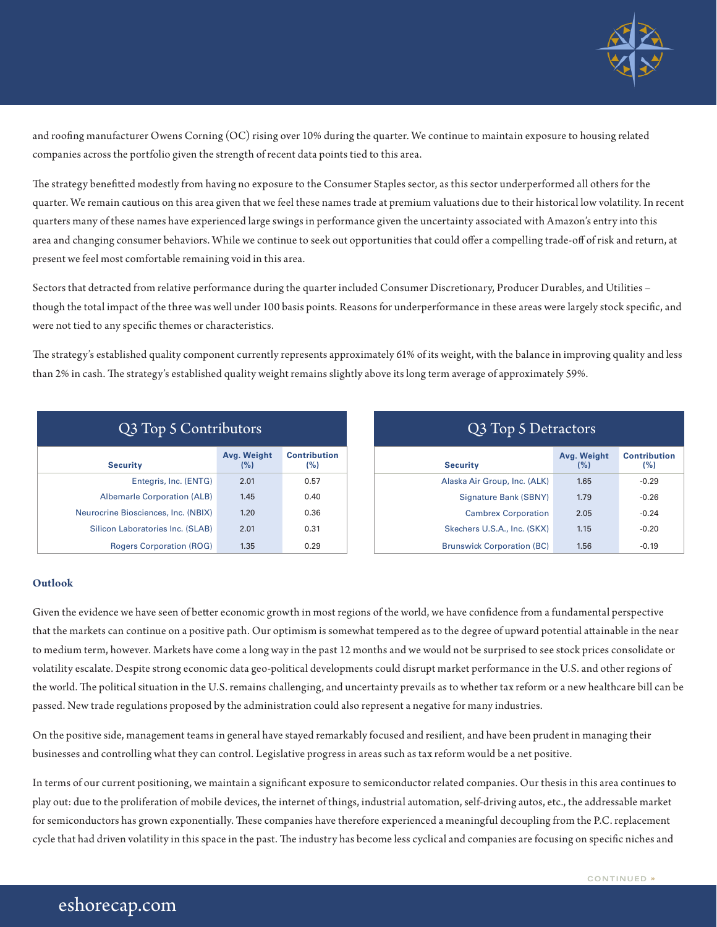

and roofing manufacturer Owens Corning (OC) rising over 10% during the quarter. We continue to maintain exposure to housing related companies across the portfolio given the strength of recent data points tied to this area.

The strategy benefitted modestly from having no exposure to the Consumer Staples sector, as this sector underperformed all others for the quarter. We remain cautious on this area given that we feel these names trade at premium valuations due to their historical low volatility. In recent quarters many of these names have experienced large swings in performance given the uncertainty associated with Amazon's entry into this area and changing consumer behaviors. While we continue to seek out opportunities that could offer a compelling trade-off of risk and return, at present we feel most comfortable remaining void in this area.

Sectors that detracted from relative performance during the quarter included Consumer Discretionary, Producer Durables, and Utilities – though the total impact of the three was well under 100 basis points. Reasons for underperformance in these areas were largely stock specific, and were not tied to any specific themes or characteristics.

The strategy's established quality component currently represents approximately 61% of its weight, with the balance in improving quality and less than 2% in cash. The strategy's established quality weight remains slightly above its long term average of approximately 59%.

| Q3 Top 5 Contributors               |                    |                     |  |  |  |
|-------------------------------------|--------------------|---------------------|--|--|--|
| <b>Security</b>                     | Avg. Weight<br>(%) | Contribution<br>(%) |  |  |  |
| Entegris, Inc. (ENTG)               | 2.01               | 0.57                |  |  |  |
| <b>Albemarle Corporation (ALB)</b>  | 1.45               | 0.40                |  |  |  |
| Neurocrine Biosciences, Inc. (NBIX) | 1.20               | 0.36                |  |  |  |
| Silicon Laboratories Inc. (SLAB)    | 2.01               | 0.31                |  |  |  |
| <b>Rogers Corporation (ROG)</b>     | 1.35               | 0.29                |  |  |  |

| Q3 Top 5 Detractors               |                    |                            |  |  |  |  |
|-----------------------------------|--------------------|----------------------------|--|--|--|--|
| <b>Security</b>                   | Avg. Weight<br>(%) | <b>Contribution</b><br>(%) |  |  |  |  |
| Alaska Air Group, Inc. (ALK)      | 1.65               | $-0.29$                    |  |  |  |  |
| Signature Bank (SBNY)             | 1.79               | $-0.26$                    |  |  |  |  |
| <b>Cambrex Corporation</b>        | 2.05               | $-0.24$                    |  |  |  |  |
| Skechers U.S.A., Inc. (SKX)       | 1.15               | $-0.20$                    |  |  |  |  |
| <b>Brunswick Corporation (BC)</b> | 1.56               | $-0.19$                    |  |  |  |  |

### **Outlook**

Given the evidence we have seen of better economic growth in most regions of the world, we have confidence from a fundamental perspective that the markets can continue on a positive path. Our optimism is somewhat tempered as to the degree of upward potential attainable in the near to medium term, however. Markets have come a long way in the past 12 months and we would not be surprised to see stock prices consolidate or volatility escalate. Despite strong economic data geo-political developments could disrupt market performance in the U.S. and other regions of the world. The political situation in the U.S. remains challenging, and uncertainty prevails as to whether tax reform or a new healthcare bill can be passed. New trade regulations proposed by the administration could also represent a negative for many industries.

On the positive side, management teams in general have stayed remarkably focused and resilient, and have been prudent in managing their businesses and controlling what they can control. Legislative progress in areas such as tax reform would be a net positive.

In terms of our current positioning, we maintain a significant exposure to semiconductor related companies. Our thesis in this area continues to play out: due to the proliferation of mobile devices, the internet of things, industrial automation, self-driving autos, etc., the addressable market for semiconductors has grown exponentially. These companies have therefore experienced a meaningful decoupling from the P.C. replacement cycle that had driven volatility in this space in the past. The industry has become less cyclical and companies are focusing on specific niches and

# eshorecap.com